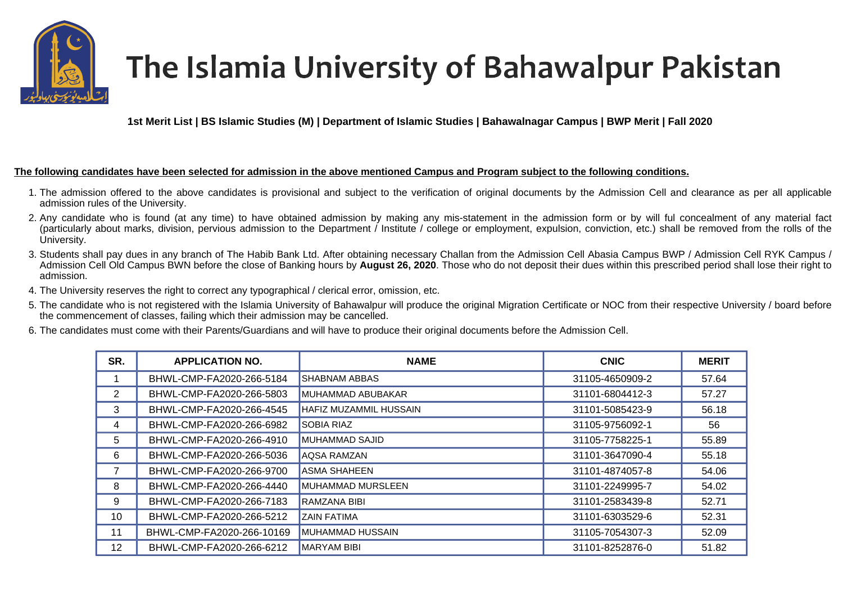

## The Islamia University of Bahawalpur Pakistan

**1st Merit List | BS Islamic Studies (M) | Department of Islamic Studies | Bahawalnagar Campus | BWP Merit | Fall 2020** 

## **The following candidates have been selected for admission in the above mentioned Campus and Program subject to the following conditions.**

- 1. The admission offered to the above candidates is provisional and subject to the verification of original documents by the Admission Cell and clearance as per all applicable admission rules of the University.
- 2. Any candidate who is found (at any time) to have obtained admission by making any mis-statement in the admission form or by will ful concealment of any material fact (particularly about marks, division, pervious admission to the Department / Institute / college or employment, expulsion, conviction, etc.) shall be removed from the rolls of the University.
- 3. Students shall pay dues in any branch of The Habib Bank Ltd. After obtaining necessary Challan from the Admission Cell Abasia Campus BWP / Admission Cell RYK Campus / Admission Cell Old Campus BWN before the close of Banking hours by **August 26, 2020**. Those who do not deposit their dues within this prescribed period shall lose their right to admission.
- 4. The University reserves the right to correct any typographical / clerical error, omission, etc.
- 5. The candidate who is not registered with the Islamia University of Bahawalpur will produce the original Migration Certificate or NOC from their respective University / board before the commencement of classes, failing which their admission may be cancelled.
- 6. The candidates must come with their Parents/Guardians and will have to produce their original documents before the Admission Cell.

| SR.            | <b>APPLICATION NO.</b>    | <b>NAME</b>              | <b>CNIC</b>     | <b>MERIT</b> |
|----------------|---------------------------|--------------------------|-----------------|--------------|
|                | BHWL-CMP-FA2020-266-5184  | <b>SHABNAM ABBAS</b>     | 31105-4650909-2 | 57.64        |
| $\overline{2}$ | BHWL-CMP-FA2020-266-5803  | MUHAMMAD ABUBAKAR        | 31101-6804412-3 | 57.27        |
| 3              | BHWL-CMP-FA2020-266-4545  | HAFIZ MUZAMMIL HUSSAIN   | 31101-5085423-9 | 56.18        |
| 4              | BHWL-CMP-FA2020-266-6982  | <b>SOBIA RIAZ</b>        | 31105-9756092-1 | 56           |
| 5              | BHWL-CMP-FA2020-266-4910  | MUHAMMAD SAJID           | 31105-7758225-1 | 55.89        |
| 6              | BHWL-CMP-FA2020-266-5036  | <b>AQSA RAMZAN</b>       | 31101-3647090-4 | 55.18        |
|                | BHWL-CMP-FA2020-266-9700  | ASMA SHAHEEN             | 31101-4874057-8 | 54.06        |
| 8              | BHWL-CMP-FA2020-266-4440  | <b>MUHAMMAD MURSLEEN</b> | 31101-2249995-7 | 54.02        |
| 9              | BHWL-CMP-FA2020-266-7183  | RAMZANA BIBI             | 31101-2583439-8 | 52.71        |
| 10             | BHWL-CMP-FA2020-266-5212  | <b>ZAIN FATIMA</b>       | 31101-6303529-6 | 52.31        |
| 11             | BHWL-CMP-FA2020-266-10169 | MUHAMMAD HUSSAIN         | 31105-7054307-3 | 52.09        |
| 12             | BHWL-CMP-FA2020-266-6212  | <b>MARYAM BIBI</b>       | 31101-8252876-0 | 51.82        |